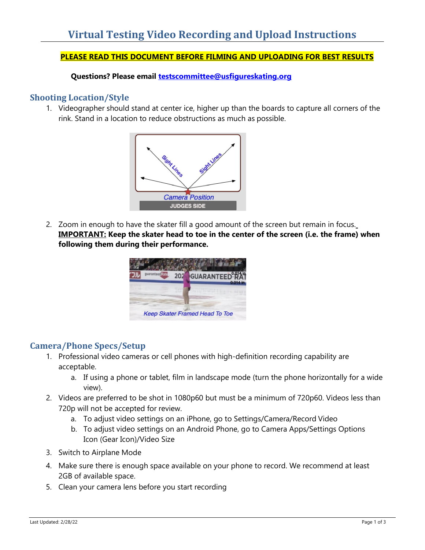### **PLEASE READ THIS DOCUMENT BEFORE FILMING AND UPLOADING FOR BEST RESULTS**

**Questions? Please email [testscommittee@usfigureskating.org](mailto:testscommittee@usfigureskating.org)**

### **Shooting Location/Style**

1. Videographer should stand at center ice, higher up than the boards to capture all corners of the rink. Stand in a location to reduce obstructions as much as possible.



2. Zoom in enough to have the skater fill a good amount of the screen but remain in focus. **IMPORTANT: Keep the skater head to toe in the center of the screen (i.e. the frame) when following them during their performance.**



## **Camera/Phone Specs/Setup**

- 1. Professional video cameras or cell phones with high-definition recording capability are acceptable.
	- a. If using a phone or tablet, film in landscape mode (turn the phone horizontally for a wide view).
- 2. Videos are preferred to be shot in 1080p60 but must be a minimum of 720p60. Videos less than 720p will not be accepted for review.
	- a. To adjust video settings on an iPhone, go to Settings/Camera/Record Video
	- b. To adjust video settings on an Android Phone, go to Camera Apps/Settings Options Icon (Gear Icon)/Video Size
- 3. Switch to Airplane Mode
- 4. Make sure there is enough space available on your phone to record. We recommend at least 2GB of available space.
- 5. Clean your camera lens before you start recording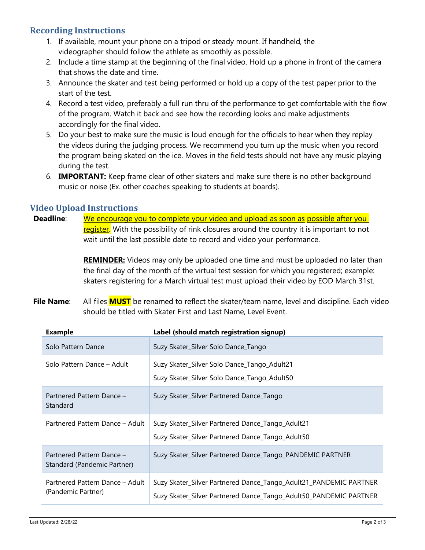# **Recording Instructions**

- 1. If available, mount your phone on a tripod or steady mount. If handheld, the videographer should follow the athlete as smoothly as possible.
- 2. Include a time stamp at the beginning of the final video. Hold up a phone in front of the camera that shows the date and time.
- 3. Announce the skater and test being performed or hold up a copy of the test paper prior to the start of the test.
- 4. Record a test video, preferably a full run thru of the performance to get comfortable with the flow of the program. Watch it back and see how the recording looks and make adjustments accordingly for the final video.
- 5. Do your best to make sure the music is loud enough for the officials to hear when they replay the videos during the judging process. We recommend you turn up the music when you record the program being skated on the ice. Moves in the field tests should not have any music playing during the test.
- 6. **IMPORTANT:** Keep frame clear of other skaters and make sure there is no other background music or noise (Ex. other coaches speaking to students at boards).

### **Video Upload Instructions**

**Deadline:** We encourage you to complete your video and upload as soon as possible after you register. With the possibility of rink closures around the country it is important to not wait until the last possible date to record and video your performance.

> **REMINDER:** Videos may only be uploaded one time and must be uploaded no later than the final day of the month of the virtual test session for which you registered; example: skaters registering for a March virtual test must upload their video by EOD March 31st.

**File Name**: All files **MUST** be renamed to reflect the skater/team name, level and discipline. Each video should be titled with Skater First and Last Name, Level Event.

| <b>Example</b>                                           | Label (should match registration signup)                                                                                               |
|----------------------------------------------------------|----------------------------------------------------------------------------------------------------------------------------------------|
| Solo Pattern Dance                                       | Suzy Skater_Silver Solo Dance_Tango                                                                                                    |
| Solo Pattern Dance - Adult                               | Suzy Skater_Silver Solo Dance_Tango_Adult21<br>Suzy Skater_Silver Solo Dance_Tango_Adult50                                             |
| Partnered Pattern Dance -<br>Standard                    | Suzy Skater_Silver Partnered Dance_Tango                                                                                               |
| Partnered Pattern Dance - Adult                          | Suzy Skater_Silver Partnered Dance_Tango_Adult21<br>Suzy Skater_Silver Partnered Dance_Tango_Adult50                                   |
| Partnered Pattern Dance -<br>Standard (Pandemic Partner) | Suzy Skater_Silver Partnered Dance_Tango_PANDEMIC PARTNER                                                                              |
| Partnered Pattern Dance - Adult<br>(Pandemic Partner)    | Suzy Skater_Silver Partnered Dance_Tango_Adult21_PANDEMIC PARTNER<br>Suzy Skater_Silver Partnered Dance_Tango_Adult50_PANDEMIC PARTNER |